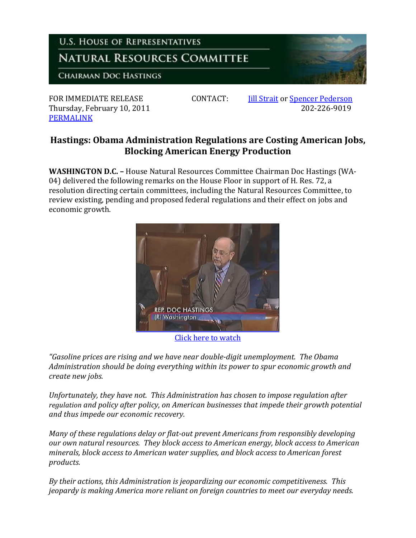

Thursday, February 10, 2011 [PERMALINK](http://naturalresources.house.gov/News/DocumentSingle.aspx?DocumentID=224612)

FOR IMMEDIATE RELEASE CONTACT: I<u>ill Strait</u> or <u>Spencer Pederson</u><br>202-226-9019 202-226

## **Hastings: Obama Administration Regulations are Costing American Jobs, Blocking American Energy Production**

**WASHINGTON D.C. –** House Natural Resources Committee Chairman Doc Hastings (WA-04) delivered the following remarks on the House Floor in support of H. Res. 72, a resolution directing certain committees, including the Natural Resources Committee, to review existing, pending and proposed federal regulations and their effect on jobs and economic growth.



[Click here to watch](http://www.youtube.com/watch?v=eM9Q6t07PSY)

*"Gasoline prices are rising and we have near double-digit unemployment. The Obama Administration should be doing everything within its power to spur economic growth and create new jobs.*

*Unfortunately, they have not. This Administration has chosen to impose regulation after regulation and policy after policy, on American businesses that impede their growth potential and thus impede our economic recovery.* 

*Many of these regulations delay or flat-out prevent Americans from responsibly developing our own natural resources. They block access to American energy, block access to American minerals, block access to American water supplies, and block access to American forest products.* 

*By their actions, this Administration is jeopardizing our economic competitiveness. This jeopardy is making America more reliant on foreign countries to meet our everyday needs.*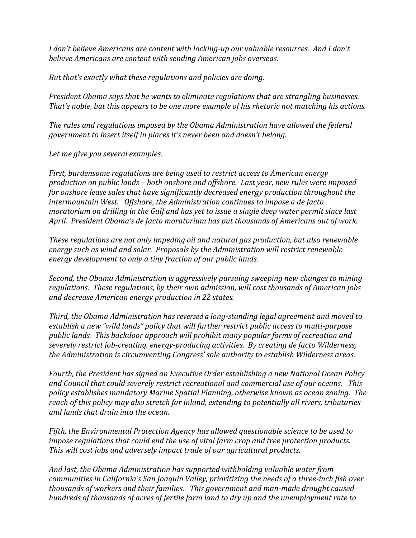*I don't believe Americans are content with locking-up our valuable resources. And I don't believe Americans are content with sending American jobs overseas.* 

*But that's exactly what these regulations and policies are doing.* 

*President Obama says that he wants to eliminate regulations that are strangling businesses. That's noble, but this appears to be one more example of his rhetoric not matching his actions.* 

*The rules and regulations imposed by the Obama Administration have allowed the federal government to insert itself in places it's never been and doesn't belong.* 

*Let me give you several examples.* 

*First, burdensome regulations are being used to restrict access to American energy production on public lands – both onshore and offshore. Last year, new rules were imposed for onshore lease sales that have significantly decreased energy production throughout the intermountain West. Offshore, the Administration continues to impose a de facto moratorium on drilling in the Gulf and has yet to issue a single deep water permit since last April. President Obama's de facto moratorium has put thousands of Americans out of work.* 

*These regulations are not only impeding oil and natural gas production, but also renewable energy such as wind and solar. Proposals by the Administration will restrict renewable energy development to only a tiny fraction of our public lands.*

*Second, the Obama Administration is aggressively pursuing sweeping new changes to mining regulations. These regulations, by their own admission, will cost thousands of American jobs and decrease American energy production in 22 states.* 

*Third, the Obama Administration has reversed a long-standing legal agreement and moved to establish a new "wild lands" policy that will further restrict public access to multi-purpose public lands. This backdoor approach will prohibit many popular forms of recreation and severely restrict job-creating, energy-producing activities. By creating de facto Wilderness, the Administration is circumventing Congress' sole authority to establish Wilderness areas.*

*Fourth, the President has signed an Executive Order establishing a new National Ocean Policy and Council that could severely restrict recreational and commercial use of our oceans. This policy establishes mandatory Marine Spatial Planning, otherwise known as ocean zoning. The reach of this policy may also stretch far inland, extending to potentially all rivers, tributaries and lands that drain into the ocean.* 

*Fifth, the Environmental Protection Agency has allowed questionable science to be used to impose regulations that could end the use of vital farm crop and tree protection products. This will cost jobs and adversely impact trade of our agricultural products.* 

*And last, the Obama Administration has supported withholding valuable water from communities in California's San Joaquin Valley, prioritizing the needs of a three-inch fish over thousands of workers and their families. This government and man-made drought caused hundreds of thousands of acres of fertile farm land to dry up and the unemployment rate to*